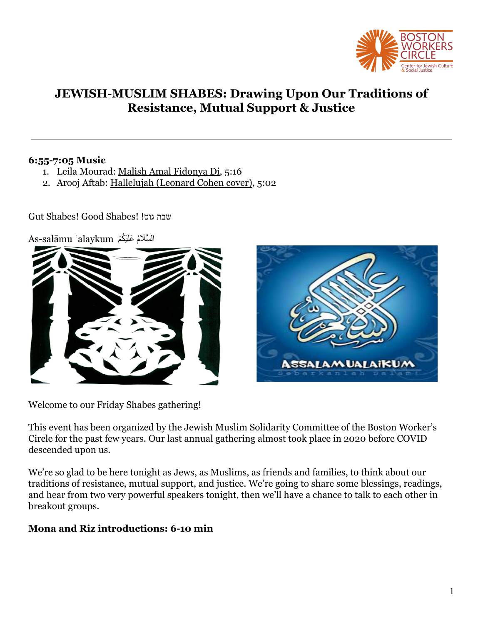

# **JEWISH-MUSLIM SHABES: Drawing Upon Our Traditions of Resistance, Mutual Support & Justice**

# **6:55-7:05 Music**

- 1. Leila Mourad: [Malish Amal Fidonya Di,](https://www.youtube.com/watch?v=aAvvJt0BHaE) 5:16
- 2. Arooj Aftab: [Hallelujah \(Leonard Cohen cover\),](https://soundcloud.com/hasaan-anjum/hallelujah-arooj-aftab) 5:02

Gut Shabes! Good Shabes! !גוט שבת

As-salāmu ʿalaykum السَّلَامُ عَلَيْكُمْ





Welcome to our Friday Shabes gathering!

This event has been organized by the Jewish Muslim Solidarity Committee of the Boston Worker's Circle for the past few years. Our last annual gathering almost took place in 2020 before COVID descended upon us.

We're so glad to be here tonight as Jews, as Muslims, as friends and families, to think about our traditions of resistance, mutual support, and justice. We're going to share some blessings, readings, and hear from two very powerful speakers tonight, then we'll have a chance to talk to each other in breakout groups.

# **Mona and Riz introductions: 6-10 min**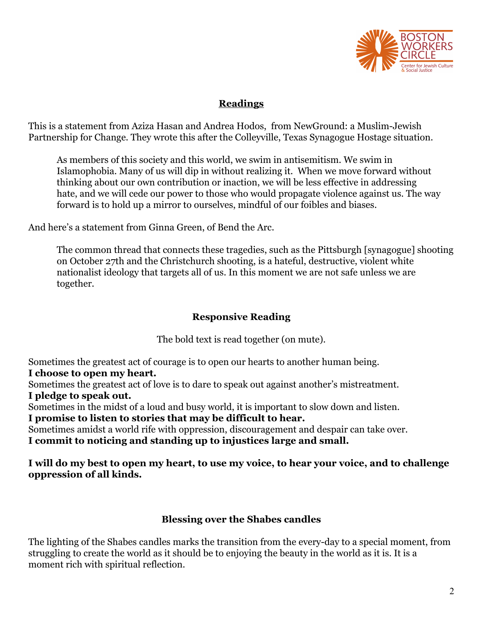

# **Readings**

This is a statement from Aziza Hasan and Andrea Hodos, from NewGround: a Muslim-Jewish Partnership for Change. They wrote this after the Colleyville, Texas Synagogue Hostage situation.

As members of this society and this world, we swim in antisemitism. We swim in Islamophobia. Many of us will dip in without realizing it. When we move forward without thinking about our own contribution or inaction, we will be less effective in addressing hate, and we will cede our power to those who would propagate violence against us. The way forward is to hold up a mirror to ourselves, mindful of our foibles and biases.

And here's a statement from Ginna Green, of Bend the Arc.

The common thread that connects these tragedies, such as the Pittsburgh [synagogue] shooting on October 27th and the Christchurch shooting, is a hateful, destructive, violent white nationalist ideology that targets all of us. In this moment we are not safe unless we are together.

# **Responsive Reading**

The bold text is read together (on mute).

Sometimes the greatest act of courage is to open our hearts to another human being. **I choose to open my heart.**

Sometimes the greatest act of love is to dare to speak out against another's mistreatment. **I pledge to speak out.**

Sometimes in the midst of a loud and busy world, it is important to slow down and listen. **I promise to listen to stories that may be difficult to hear.**

Sometimes amidst a world rife with oppression, discouragement and despair can take over. **I commit to noticing and standing up to injustices large and small.**

**I will do my best to open my heart, to use my voice, to hear your voice, and to challenge oppression of all kinds.**

# **Blessing over the Shabes candles**

The lighting of the Shabes candles marks the transition from the every-day to a special moment, from struggling to create the world as it should be to enjoying the beauty in the world as it is. It is a moment rich with spiritual reflection.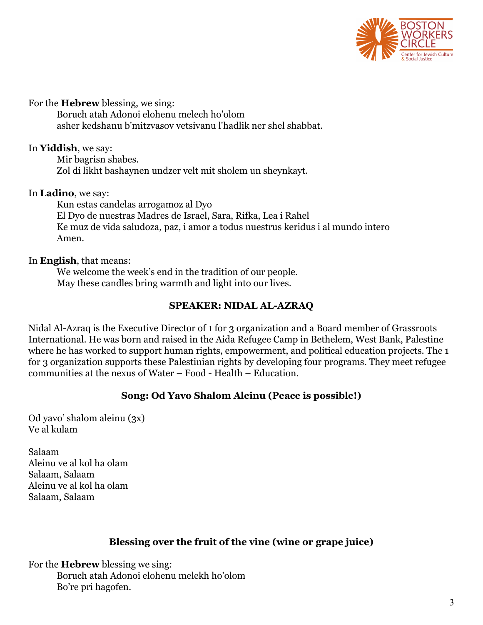

#### For the **Hebrew** blessing, we sing:

Boruch atah Adonoi elohenu melech ho'olom asher kedshanu b'mitzvasov vetsivanu l'hadlik ner shel shabbat.

## In **Yiddish**, we say:

Mir bagrisn shabes. Zol di likht bashaynen undzer velt mit sholem un sheynkayt.

#### In **Ladino**, we say:

Kun estas candelas arrogamoz al Dyo El Dyo de nuestras Madres de Israel, Sara, Rifka, Lea i Rahel Ke muz de vida saludoza, paz, i amor a todus nuestrus keridus i al mundo intero Amen.

In **English**, that means:

We welcome the week's end in the tradition of our people. May these candles bring warmth and light into our lives.

# **SPEAKER: NIDAL AL-AZRAQ**

Nidal Al-Azraq is the Executive Director of 1 for 3 organization and a Board member of Grassroots International. He was born and raised in the Aida Refugee Camp in Bethelem, West Bank, Palestine where he has worked to support human rights, empowerment, and political education projects. The 1 for 3 organization supports these Palestinian rights by developing four programs. They meet refugee communities at the nexus of Water – Food - Health – Education.

# **Song: Od Yavo Shalom Aleinu (Peace is possible!)**

Od yavo' shalom aleinu (3x) Ve al kulam

Salaam Aleinu ve al kol ha olam Salaam, Salaam Aleinu ve al kol ha olam Salaam, Salaam

# **Blessing over the fruit of the vine (wine or grape juice)**

For the **Hebrew** blessing we sing: Boruch atah Adonoi elohenu melekh ho'olom Bo're pri hagofen.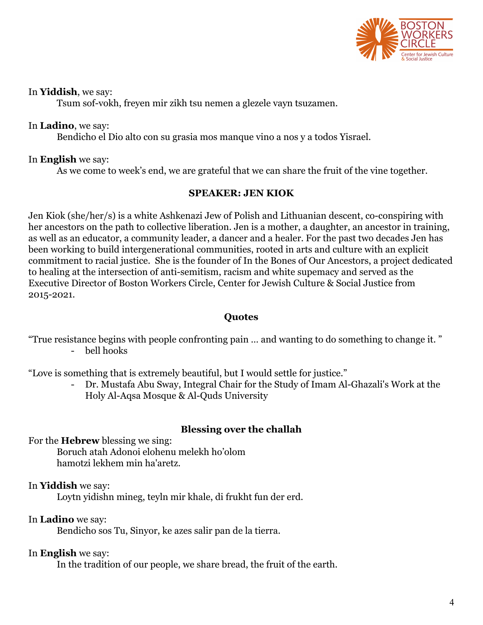

#### In **Yiddish**, we say:

Tsum sof-vokh, freyen mir zikh tsu nemen a glezele vayn tsuzamen.

#### In **Ladino**, we say:

Bendicho el Dio alto con su grasia mos manque vino a nos y a todos Yisrael.

# In **English** we say:

As we come to week's end, we are grateful that we can share the fruit of the vine together.

# **SPEAKER: JEN KIOK**

Jen Kiok (she/her/s) is a white Ashkenazi Jew of Polish and Lithuanian descent, co-conspiring with her ancestors on the path to collective liberation. Jen is a mother, a daughter, an ancestor in training, as well as an educator, a community leader, a dancer and a healer. For the past two decades Jen has been working to build intergenerational communities, rooted in arts and culture with an explicit commitment to racial justice. She is the founder of In the Bones of Our Ancestors, a project dedicated to healing at the intersection of anti-semitism, racism and white supemacy and served as the Executive Director of Boston Workers Circle, Center for Jewish Culture & Social Justice from 2015-2021.

#### **Quotes**

"True resistance begins with people confronting pain … and wanting to do something to change it. "

- bell hooks

"Love is something that is extremely beautiful, but I would settle for justice."

- Dr. Mustafa Abu Sway, Integral Chair for the Study of Imam Al-Ghazali's Work at the Holy Al-Aqsa Mosque & Al-Quds University

# **Blessing over the challah**

For the **Hebrew** blessing we sing:

Boruch atah Adonoi elohenu melekh ho'olom hamotzi lekhem min ha'aretz.

# In **Yiddish** we say:

Loytn yidishn mineg, teyln mir khale, di frukht fun der erd.

#### In **Ladino** we say:

Bendicho sos Tu, Sinyor, ke azes salir pan de la tierra.

# In **English** we say:

In the tradition of our people, we share bread, the fruit of the earth.